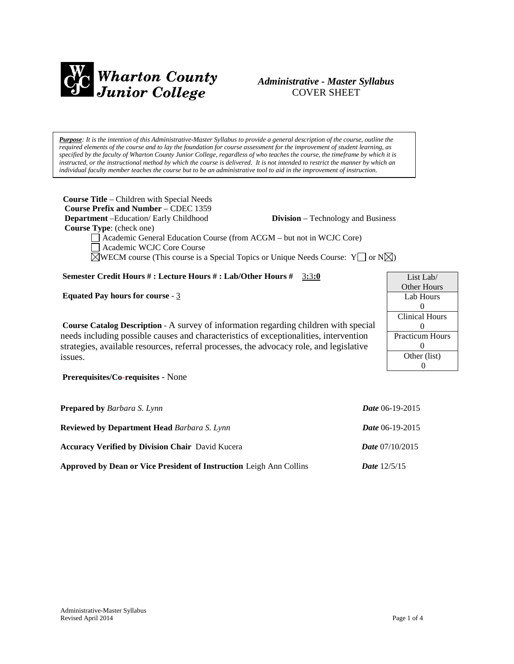

# *Administrative - Master Syllabus*  COVER SHEET

*Purpose: It is the intention of this Administrative-Master Syllabus to provide a general description of the course, outline the required elements of the course and to lay the foundation for course assessment for the improvement of student learning, as specified by the faculty of Wharton County Junior College, regardless of who teaches the course, the timeframe by which it is instructed, or the instructional method by which the course is delivered. It is not intended to restrict the manner by which an individual faculty member teaches the course but to be an administrative tool to aid in the improvement of instruction.*

| <b>Course Title</b> – Children with Special Needs<br><b>Course Prefix and Number – CDEC 1359</b><br><b>Department</b> -Education/ Early Childhood<br><b>Division</b> – Technology and Business<br><b>Course Type:</b> (check one)<br>Academic General Education Course (from ACGM - but not in WCJC Core)<br>Academic WCJC Core Course<br>$\boxtimes$ WECM course (This course is a Special Topics or Unique Needs Course: Y $\Box$ or N $\boxtimes$ ) |                                                       |                                                                                                                                     |
|--------------------------------------------------------------------------------------------------------------------------------------------------------------------------------------------------------------------------------------------------------------------------------------------------------------------------------------------------------------------------------------------------------------------------------------------------------|-------------------------------------------------------|-------------------------------------------------------------------------------------------------------------------------------------|
| Semester Credit Hours #: Lecture Hours #: Lab/Other Hours # 3:3:0                                                                                                                                                                                                                                                                                                                                                                                      |                                                       | List Lab/                                                                                                                           |
| Equated Pay hours for course - $3$<br><b>Course Catalog Description - A survey of information regarding children with special</b><br>needs including possible causes and characteristics of exceptionalities, intervention<br>strategies, available resources, referral processes, the advocacy role, and legislative<br>issues.<br>Prerequisites/Co-requisites - None                                                                                 |                                                       | Other Hours<br>Lab Hours<br>$\Omega$<br><b>Clinical Hours</b><br>$\theta$<br>Practicum Hour<br>$\theta$<br>Other (list)<br>$\theta$ |
| <b>Prepared by Barbara S. Lynn</b><br><b>Reviewed by Department Head Barbara S. Lynn</b><br><b>Accuracy Verified by Division Chair</b> David Kucera                                                                                                                                                                                                                                                                                                    | Date 06-19-2015<br>Date 06-19-2015<br>Date 07/10/2015 |                                                                                                                                     |

**Approved by Dean or Vice President of Instruction** Leigh Ann Collins *Date* 12/5/15

Hours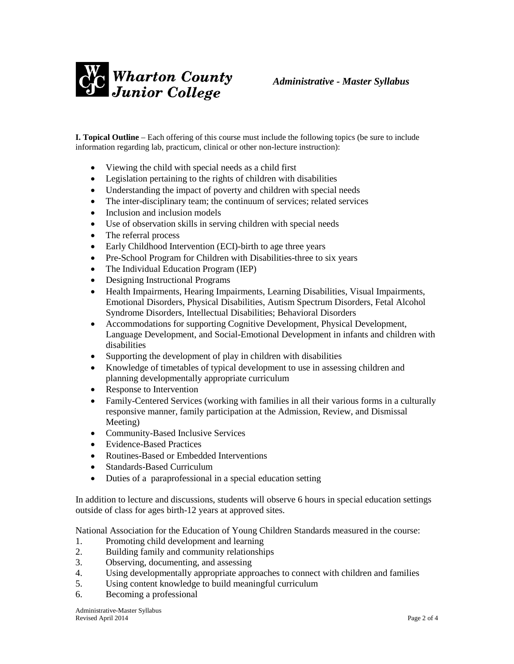

**I. Topical Outline** – Each offering of this course must include the following topics (be sure to include information regarding lab, practicum, clinical or other non-lecture instruction):

- Viewing the child with special needs as a child first
- Legislation pertaining to the rights of children with disabilities
- Understanding the impact of poverty and children with special needs
- The inter-disciplinary team; the continuum of services; related services
- Inclusion and inclusion models
- Use of observation skills in serving children with special needs
- The referral process
- Early Childhood Intervention (ECI)-birth to age three years
- Pre-School Program for Children with Disabilities-three to six years
- The Individual Education Program (IEP)
- Designing Instructional Programs
- Health Impairments, Hearing Impairments, Learning Disabilities, Visual Impairments, Emotional Disorders, Physical Disabilities, Autism Spectrum Disorders, Fetal Alcohol Syndrome Disorders, Intellectual Disabilities; Behavioral Disorders
- Accommodations for supporting Cognitive Development, Physical Development, Language Development, and Social-Emotional Development in infants and children with disabilities
- Supporting the development of play in children with disabilities
- Knowledge of timetables of typical development to use in assessing children and planning developmentally appropriate curriculum
- Response to Intervention
- Family-Centered Services (working with families in all their various forms in a culturally responsive manner, family participation at the Admission, Review, and Dismissal Meeting)
- Community-Based Inclusive Services
- Evidence-Based Practices
- Routines-Based or Embedded Interventions
- Standards-Based Curriculum
- Duties of a paraprofessional in a special education setting

In addition to lecture and discussions, students will observe 6 hours in special education settings outside of class for ages birth-12 years at approved sites.

National Association for the Education of Young Children Standards measured in the course:

- 1. Promoting child development and learning
- 2. Building family and community relationships
- 3. Observing, documenting, and assessing
- 4. Using developmentally appropriate approaches to connect with children and families
- 5. Using content knowledge to build meaningful curriculum
- 6. Becoming a professional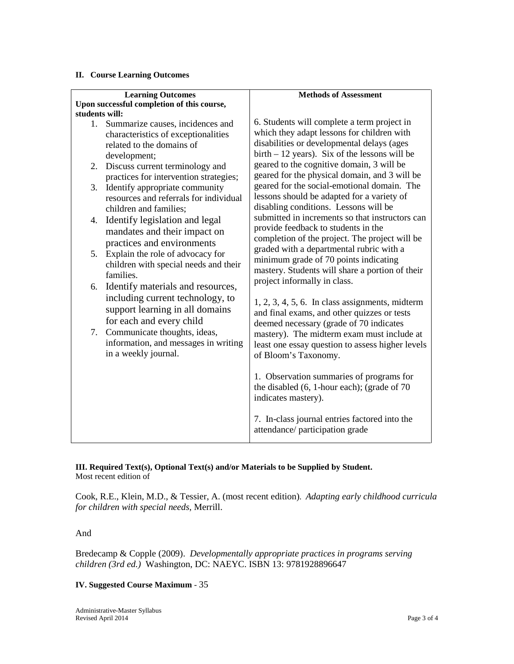#### **II. Course Learning Outcomes**

| <b>Learning Outcomes</b><br>Upon successful completion of this course, |                                                                                                                                         | <b>Methods of Assessment</b>                                                                                                                                                                       |  |
|------------------------------------------------------------------------|-----------------------------------------------------------------------------------------------------------------------------------------|----------------------------------------------------------------------------------------------------------------------------------------------------------------------------------------------------|--|
| students will:                                                         |                                                                                                                                         |                                                                                                                                                                                                    |  |
|                                                                        | 1. Summarize causes, incidences and<br>characteristics of exceptionalities<br>related to the domains of<br>development;                 | 6. Students will complete a term project in<br>which they adapt lessons for children with<br>disabilities or developmental delays (ages<br>$birth - 12 \text{ years}$ . Six of the lessons will be |  |
|                                                                        | 2. Discuss current terminology and<br>practices for intervention strategies;                                                            | geared to the cognitive domain, 3 will be<br>geared for the physical domain, and 3 will be                                                                                                         |  |
| 3.                                                                     | Identify appropriate community<br>resources and referrals for individual<br>children and families;                                      | geared for the social-emotional domain. The<br>lessons should be adapted for a variety of<br>disabling conditions. Lessons will be                                                                 |  |
|                                                                        | 4. Identify legislation and legal<br>mandates and their impact on<br>practices and environments                                         | submitted in increments so that instructors can<br>provide feedback to students in the<br>completion of the project. The project will be<br>graded with a departmental rubric with a               |  |
| 5.                                                                     | Explain the role of advocacy for<br>children with special needs and their<br>families.                                                  | minimum grade of 70 points indicating<br>mastery. Students will share a portion of their<br>project informally in class.                                                                           |  |
|                                                                        | 6. Identify materials and resources,<br>including current technology, to<br>support learning in all domains<br>for each and every child | $1, 2, 3, 4, 5, 6$ . In class assignments, midterm<br>and final exams, and other quizzes or tests<br>deemed necessary (grade of 70 indicates                                                       |  |
|                                                                        | 7. Communicate thoughts, ideas,<br>information, and messages in writing<br>in a weekly journal.                                         | mastery). The midterm exam must include at<br>least one essay question to assess higher levels<br>of Bloom's Taxonomy.                                                                             |  |
|                                                                        |                                                                                                                                         | 1. Observation summaries of programs for<br>the disabled $(6, 1$ -hour each); (grade of 70<br>indicates mastery).                                                                                  |  |
|                                                                        |                                                                                                                                         | 7. In-class journal entries factored into the<br>attendance/ participation grade                                                                                                                   |  |

**III. Required Text(s), Optional Text(s) and/or Materials to be Supplied by Student.** Most recent edition of

Cook, R.E., Klein, M.D., & Tessier, A. (most recent edition). *Adapting early childhood curricula for children with special needs*, Merrill.

#### And

Bredecamp & Copple (2009). *Developmentally appropriate practices in programs serving children (3rd ed.)* Washington, DC: NAEYC. ISBN 13: 9781928896647

#### **IV. Suggested Course Maximum** - 35